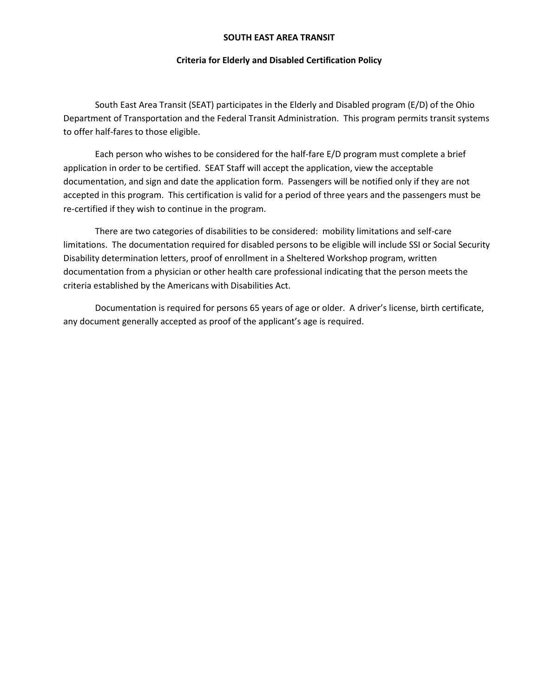### **SOUTH EAST AREA TRANSIT**

### **Criteria for Elderly and Disabled Certification Policy**

South East Area Transit (SEAT) participates in the Elderly and Disabled program (E/D) of the Ohio Department of Transportation and the Federal Transit Administration. This program permits transit systems to offer half-fares to those eligible.

Each person who wishes to be considered for the half-fare E/D program must complete a brief application in order to be certified. SEAT Staff will accept the application, view the acceptable documentation, and sign and date the application form. Passengers will be notified only if they are not accepted in this program. This certification is valid for a period of three years and the passengers must be re-certified if they wish to continue in the program.

There are two categories of disabilities to be considered: mobility limitations and self-care limitations. The documentation required for disabled persons to be eligible will include SSI or Social Security Disability determination letters, proof of enrollment in a Sheltered Workshop program, written documentation from a physician or other health care professional indicating that the person meets the criteria established by the Americans with Disabilities Act.

Documentation is required for persons 65 years of age or older. A driver's license, birth certificate, any document generally accepted as proof of the applicant's age is required.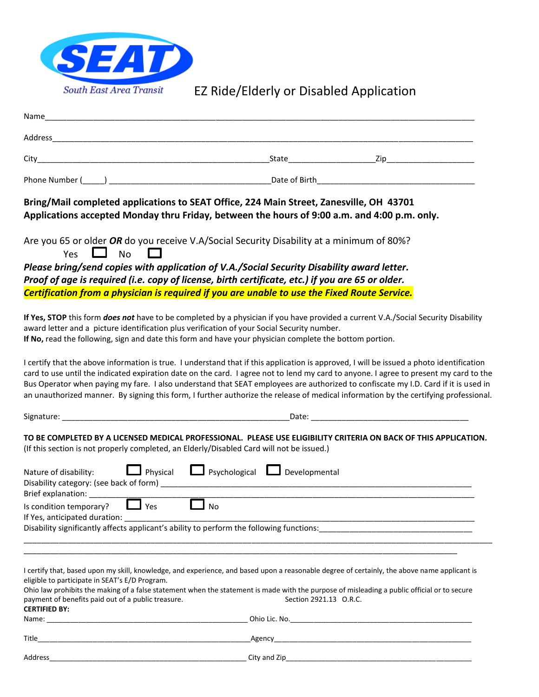

# EZ Ride/Elderly or Disabled Application

| Name                                                                                                                                                                                                                                                                                                                                                                                                                                                                                                                                                            |                                      |  |
|-----------------------------------------------------------------------------------------------------------------------------------------------------------------------------------------------------------------------------------------------------------------------------------------------------------------------------------------------------------------------------------------------------------------------------------------------------------------------------------------------------------------------------------------------------------------|--------------------------------------|--|
|                                                                                                                                                                                                                                                                                                                                                                                                                                                                                                                                                                 |                                      |  |
|                                                                                                                                                                                                                                                                                                                                                                                                                                                                                                                                                                 |                                      |  |
| Phone Number (Comparently Comparently Comparently Controller Date of Birth Comparently Comparently Comparently                                                                                                                                                                                                                                                                                                                                                                                                                                                  |                                      |  |
| Bring/Mail completed applications to SEAT Office, 224 Main Street, Zanesville, OH 43701<br>Applications accepted Monday thru Friday, between the hours of 9:00 a.m. and 4:00 p.m. only.                                                                                                                                                                                                                                                                                                                                                                         |                                      |  |
| Are you 65 or older OR do you receive V.A/Social Security Disability at a minimum of 80%?<br>Yes $\Box$ No                                                                                                                                                                                                                                                                                                                                                                                                                                                      |                                      |  |
| Please bring/send copies with application of V.A./Social Security Disability award letter.                                                                                                                                                                                                                                                                                                                                                                                                                                                                      |                                      |  |
| Proof of age is required (i.e. copy of license, birth certificate, etc.) if you are 65 or older.                                                                                                                                                                                                                                                                                                                                                                                                                                                                |                                      |  |
| Certification from a physician is required if you are unable to use the Fixed Route Service.                                                                                                                                                                                                                                                                                                                                                                                                                                                                    |                                      |  |
| If Yes, STOP this form <i>does not</i> have to be completed by a physician if you have provided a current V.A./Social Security Disability<br>award letter and a picture identification plus verification of your Social Security number.<br>If No, read the following, sign and date this form and have your physician complete the bottom portion.                                                                                                                                                                                                             |                                      |  |
| I certify that the above information is true. I understand that if this application is approved, I will be issued a photo identification<br>card to use until the indicated expiration date on the card. I agree not to lend my card to anyone. I agree to present my card to the<br>Bus Operator when paying my fare. I also understand that SEAT employees are authorized to confiscate my I.D. Card if it is used in<br>an unauthorized manner. By signing this form, I further authorize the release of medical information by the certifying professional. |                                      |  |
|                                                                                                                                                                                                                                                                                                                                                                                                                                                                                                                                                                 |                                      |  |
| TO BE COMPLETED BY A LICENSED MEDICAL PROFESSIONAL. PLEASE USE ELIGIBILITY CRITERIA ON BACK OF THIS APPLICATION.<br>(If this section is not properly completed, an Elderly/Disabled Card will not be issued.)                                                                                                                                                                                                                                                                                                                                                   |                                      |  |
| Nature of disability:<br>Brief explanation: ________                                                                                                                                                                                                                                                                                                                                                                                                                                                                                                            | Physical Psychological Developmental |  |
| Is condition temporary? $\Box$ Yes<br>No                                                                                                                                                                                                                                                                                                                                                                                                                                                                                                                        |                                      |  |
| If Yes, anticipated duration:                                                                                                                                                                                                                                                                                                                                                                                                                                                                                                                                   |                                      |  |
| Disability significantly affects applicant's ability to perform the following functions:                                                                                                                                                                                                                                                                                                                                                                                                                                                                        |                                      |  |
|                                                                                                                                                                                                                                                                                                                                                                                                                                                                                                                                                                 |                                      |  |
| I certify that, based upon my skill, knowledge, and experience, and based upon a reasonable degree of certainly, the above name applicant is<br>eligible to participate in SEAT's E/D Program.                                                                                                                                                                                                                                                                                                                                                                  |                                      |  |
| Ohio law prohibits the making of a false statement when the statement is made with the purpose of misleading a public official or to secure<br>payment of benefits paid out of a public treasure.<br><b>CERTIFIED BY:</b>                                                                                                                                                                                                                                                                                                                                       | Section 2921.13 O.R.C.               |  |
|                                                                                                                                                                                                                                                                                                                                                                                                                                                                                                                                                                 |                                      |  |
|                                                                                                                                                                                                                                                                                                                                                                                                                                                                                                                                                                 |                                      |  |
|                                                                                                                                                                                                                                                                                                                                                                                                                                                                                                                                                                 |                                      |  |